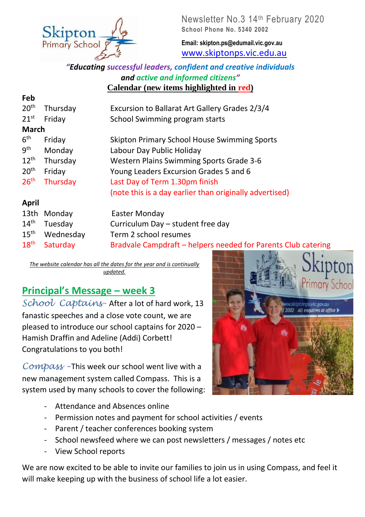

Newsletter No.3 14th February 2020 **School Phone No. 5340 2002**

**Email: skipton.ps@edumail.vic.gov.au** [www.skiptonps.vic.edu.au](http://www.skiptonps.vic.edu.au/)

#### *"Educating successful leaders, confident and creative individuals and active and informed citizens"* **Calendar (new items highlighted in red)**

| Feb              |          |                                                         |
|------------------|----------|---------------------------------------------------------|
| 20 <sup>th</sup> | Thursday | Excursion to Ballarat Art Gallery Grades 2/3/4          |
| $21^{st}$        | Friday   | School Swimming program starts                          |
| <b>March</b>     |          |                                                         |
| 6 <sup>th</sup>  | Friday   | <b>Skipton Primary School House Swimming Sports</b>     |
| 9 <sup>th</sup>  | Monday   | Labour Day Public Holiday                               |
| $12^{th}$        | Thursday | <b>Western Plains Swimming Sports Grade 3-6</b>         |
| 20 <sup>th</sup> | Friday   | Young Leaders Excursion Grades 5 and 6                  |
| 26 <sup>th</sup> | Thursday | Last Day of Term 1.30pm finish                          |
|                  |          | (note this is a day earlier than originally advertised) |
| <b>April</b>     |          |                                                         |
| 13 <sub>th</sub> | Mondav   | Easter Monday                                           |

| 13th Monday                | Easter Monday                                                 |
|----------------------------|---------------------------------------------------------------|
| 14 <sup>th</sup> Tuesday   | Curriculum Day - student free day                             |
| 15 <sup>th</sup> Wednesday | Term 2 school resumes                                         |
| 18 <sup>th</sup> Saturday  | Bradvale Campdraft – helpers needed for Parents Club catering |

*The website calendar has all the dates for the year and is continually updated.*

# **Principal's Message – week 3**

*School Captains-* After a lot of hard work, 13 fanastic speeches and a close vote count, we are pleased to introduce our school captains for 2020 – Hamish Draffin and Adeline (Addi) Corbett! Congratulations to you both!

*Compass –* This week our school went live with a new management system called Compass. This is a system used by many schools to cover the following:



- Attendance and Absences online
- Permission notes and payment for school activities / events
- Parent / teacher conferences booking system
- School newsfeed where we can post newsletters / messages / notes etc
- View School reports

We are now excited to be able to invite our families to join us in using Compass, and feel it will make keeping up with the business of school life a lot easier.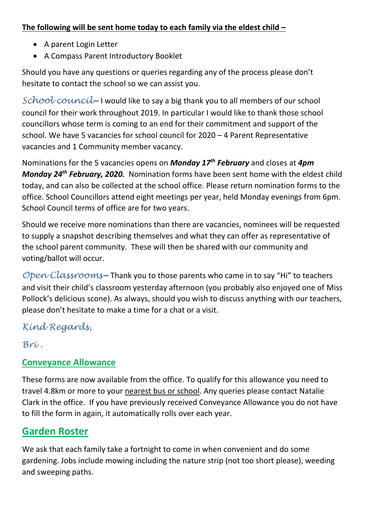#### **The following will be sent home today to each family via the eldest child –**

- A parent Login Letter
- A Compass Parent Introductory Booklet

Should you have any questions or queries regarding any of the process please don't hesitate to contact the school so we can assist you.

*School council* – I would like to say a big thank you to all members of our school council for their work throughout 2019. In particular I would like to thank those school councillors whose term is coming to an end for their commitment and support of the school. We have 5 vacancies for school council for 2020 – 4 Parent Representative vacancies and 1 Community member vacancy.

Nominations for the 5 vacancies opens on *Monday 17th February* and closes at *4pm Monday 24th February, 2020.* Nomination forms have been sent home with the eldest child today, and can also be collected at the school office. Please return nomination forms to the office. School Councillors attend eight meetings per year, held Monday evenings from 6pm. School Council terms of office are for two years.

Should we receive more nominations than there are vacancies, nominees will be requested to supply a snapshot describing themselves and what they can offer as representative of the school parent community. These will then be shared with our community and voting/ballot will occur.

*Open Classrooms* – Thank you to those parents who came in to say "Hi" to teachers and visit their child's classroom yesterday afternoon (you probably also enjoyed one of Miss Pollock's delicious scone). As always, should you wish to discuss anything with our teachers, please don't hesitate to make a time for a chat or a visit.

*Kind Regards,*

*Bri [.](https://kidshelpline.com.au/parents/issues/families-impacted-domestic-violence)*

#### **Conveyance Allowance**

These forms are now available from the office. To qualify for this allowance you need to travel 4.8km or more to your nearest bus or school. Any queries please contact Natalie Clark in the office. If you have previously received Conveyance Allowance you do not have to fill the form in again, it automatically rolls over each year.

## **Garden Roster**

We ask that each family take a fortnight to come in when convenient and do some gardening. Jobs include mowing including the nature strip (not too short please), weeding and sweeping paths.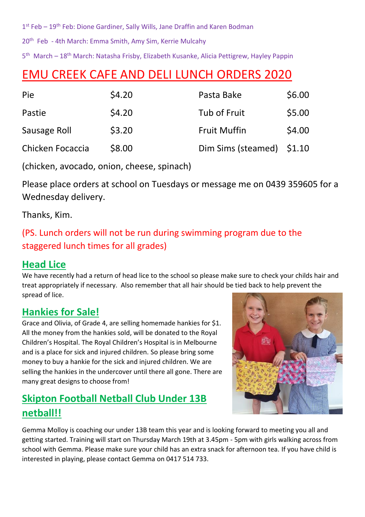1<sup>st</sup> Feb – 19<sup>th</sup> Feb: Dione Gardiner, Sally Wills, Jane Draffin and Karen Bodman

20<sup>th</sup> Feb - 4th March: Emma Smith, Amy Sim, Kerrie Mulcahy

5<sup>th</sup> March – 18<sup>th</sup> March: Natasha Frisby, Elizabeth Kusanke, Alicia Pettigrew, Hayley Pappin

# EMU CREEK CAFE AND DELI LUNCH ORDERS 2020

| Pie              | \$4.20 | Pasta Bake                | \$6.00 |
|------------------|--------|---------------------------|--------|
| Pastie           | \$4.20 | Tub of Fruit              | \$5.00 |
| Sausage Roll     | \$3.20 | <b>Fruit Muffin</b>       | \$4.00 |
| Chicken Focaccia | \$8.00 | Dim Sims (steamed) \$1.10 |        |

(chicken, avocado, onion, cheese, spinach)

Please place orders at school on Tuesdays or message me on 0439 359605 for a Wednesday delivery.

Thanks, Kim.

#### (PS. Lunch orders will not be run during swimming program due to the staggered lunch times for all grades)

#### **Head Lice**

We have recently had a return of head lice to the school so please make sure to check your childs hair and treat appropriately if necessary. Also remember that all hair should be tied back to help prevent the spread of lice.

## **Hankies for Sale!**

Grace and Olivia, of Grade 4, are selling homemade hankies for \$1. All the money from the hankies sold, will be donated to the Royal Children's Hospital. The Royal Children's Hospital is in Melbourne and is a place for sick and injured children. So please bring some money to buy a hankie for the sick and injured children. We are selling the hankies in the undercover until there all gone. There are many great designs to choose from!

# **Skipton Football Netball Club Under 13B netball!!**



[Gemma Molloy](https://www.facebook.com/gemma.molloy.7?fref=gs&__tn__=%2CdK-R-R&eid=ARDDg7iae3yDUZ43X_QmO5iDxkv_oMuSID71W_tsv-JlFISU2AN_6j3CrRqOScxZxCKj2i3LfbwccJgB&dti=759822580768288&hc_location=group) is coaching our under 13B team this year and is looking forward to meeting you all and getting started. Training will start on Thursday March 19th at 3.45pm - 5pm with girls walking across from school with Gemma. Please make sure your child has an extra snack for afternoon tea. If you have child is interested in playing, please contact Gemma on 0417 514 733.